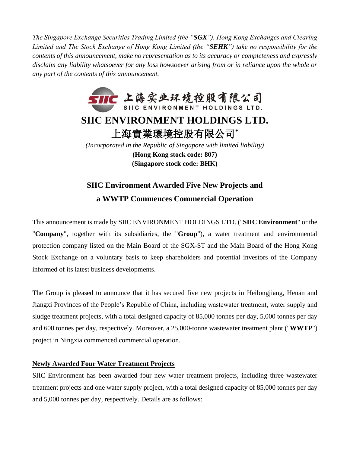*The Singapore Exchange Securities Trading Limited (the "SGX"), Hong Kong Exchanges and Clearing Limited and The Stock Exchange of Hong Kong Limited (the "SEHK") take no responsibility for the contents of this announcement, make no representation as to its accuracy or completeness and expressly disclaim any liability whatsoever for any loss howsoever arising from or in reliance upon the whole or any part of the contents of this announcement.*



## **SIIC Environment Awarded Five New Projects and a WWTP Commences Commercial Operation**

This announcement is made by SIIC ENVIRONMENT HOLDINGS LTD. ("**SIIC Environment**" or the "**Company**", together with its subsidiaries, the "**Group**"), a water treatment and environmental protection company listed on the Main Board of the SGX-ST and the Main Board of the Hong Kong Stock Exchange on a voluntary basis to keep shareholders and potential investors of the Company informed of its latest business developments.

The Group is pleased to announce that it has secured five new projects in Heilongjiang, Henan and Jiangxi Provinces of the People's Republic of China, including wastewater treatment, water supply and sludge treatment projects, with a total designed capacity of 85,000 tonnes per day, 5,000 tonnes per day and 600 tonnes per day, respectively. Moreover, a 25,000-tonne wastewater treatment plant ("**WWTP**") project in Ningxia commenced commercial operation.

### **Newly Awarded Four Water Treatment Projects**

SIIC Environment has been awarded four new water treatment projects, including three wastewater treatment projects and one water supply project, with a total designed capacity of 85,000 tonnes per day and 5,000 tonnes per day, respectively. Details are as follows: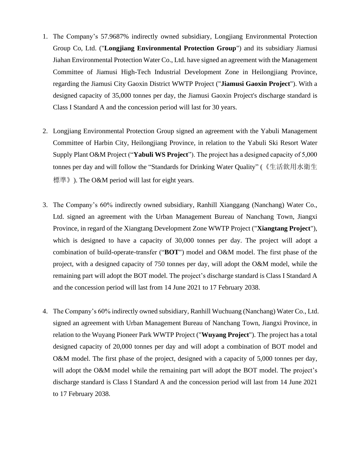- 1. The Company's 57.9687% indirectly owned subsidiary, Longjiang Environmental Protection Group Co, Ltd. ("**Longjiang Environmental Protection Group**") and its subsidiary Jiamusi Jiahan Environmental Protection Water Co., Ltd. have signed an agreement with the Management Committee of Jiamusi High-Tech Industrial Development Zone in Heilongjiang Province, regarding the Jiamusi City Gaoxin District WWTP Project ("**Jiamusi Gaoxin Project**"). With a designed capacity of 35,000 tonnes per day, the Jiamusi Gaoxin Project's discharge standard is Class I Standard A and the concession period will last for 30 years.
- 2. Longjiang Environmental Protection Group signed an agreement with the Yabuli Management Committee of Harbin City, Heilongjiang Province, in relation to the Yabuli Ski Resort Water Supply Plant O&M Project ("**Yabuli WS Project**"). The project has a designed capacity of 5,000 tonnes per day and will follow the "Standards for Drinking Water Quality" (《生活飲用水衛生 標準》). The O&M period will last for eight years.
- 3. The Company's 60% indirectly owned subsidiary, Ranhill Xianggang (Nanchang) Water Co., Ltd. signed an agreement with the Urban Management Bureau of Nanchang Town, Jiangxi Province, in regard of the Xiangtang Development Zone WWTP Project ("**Xiangtang Project**"), which is designed to have a capacity of 30,000 tonnes per day. The project will adopt a combination of build-operate-transfer ("**BOT**") model and O&M model. The first phase of the project, with a designed capacity of 750 tonnes per day, will adopt the O&M model, while the remaining part will adopt the BOT model. The project's discharge standard is Class I Standard A and the concession period will last from 14 June 2021 to 17 February 2038.
- 4. The Company's 60% indirectly owned subsidiary, Ranhill Wuchuang (Nanchang) Water Co., Ltd. signed an agreement with Urban Management Bureau of Nanchang Town, Jiangxi Province, in relation to the Wuyang Pioneer Park WWTP Project ("**Wuyang Project**"). The project has a total designed capacity of 20,000 tonnes per day and will adopt a combination of BOT model and O&M model. The first phase of the project, designed with a capacity of 5,000 tonnes per day, will adopt the O&M model while the remaining part will adopt the BOT model. The project's discharge standard is Class I Standard A and the concession period will last from 14 June 2021 to 17 February 2038.